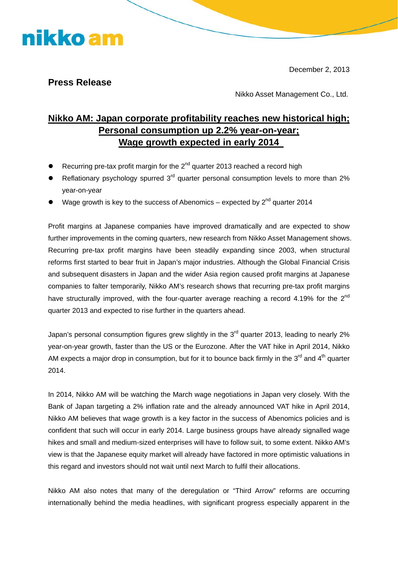December 2, 2013

### **Press Release**

nikko am

Nikko Asset Management Co., Ltd.

## **Nikko AM: Japan corporate profitability reaches new historical high; Personal consumption up 2.2% year-on-year; Wage growth expected in early 2014**

- Recurring pre-tax profit margin for the  $2^{nd}$  quarter 2013 reached a record high
- **•** Reflationary psychology spurred  $3<sup>rd</sup>$  quarter personal consumption levels to more than 2% year-on-year
- Wage growth is key to the success of Abenomics expected by  $2^{nd}$  quarter 2014

Profit margins at Japanese companies have improved dramatically and are expected to show further improvements in the coming quarters, new research from Nikko Asset Management shows. Recurring pre-tax profit margins have been steadily expanding since 2003, when structural reforms first started to bear fruit in Japan's major industries. Although the Global Financial Crisis and subsequent disasters in Japan and the wider Asia region caused profit margins at Japanese companies to falter temporarily, Nikko AM's research shows that recurring pre-tax profit margins have structurally improved, with the four-quarter average reaching a record 4.19% for the  $2^{nd}$ quarter 2013 and expected to rise further in the quarters ahead.

Japan's personal consumption figures grew slightly in the  $3<sup>rd</sup>$  quarter 2013, leading to nearly 2% year-on-year growth, faster than the US or the Eurozone. After the VAT hike in April 2014, Nikko AM expects a major drop in consumption, but for it to bounce back firmly in the  $3<sup>rd</sup>$  and  $4<sup>th</sup>$  quarter 2014.

In 2014, Nikko AM will be watching the March wage negotiations in Japan very closely. With the Bank of Japan targeting a 2% inflation rate and the already announced VAT hike in April 2014, Nikko AM believes that wage growth is a key factor in the success of Abenomics policies and is confident that such will occur in early 2014. Large business groups have already signalled wage hikes and small and medium-sized enterprises will have to follow suit, to some extent. Nikko AM's view is that the Japanese equity market will already have factored in more optimistic valuations in this regard and investors should not wait until next March to fulfil their allocations.

Nikko AM also notes that many of the deregulation or "Third Arrow" reforms are occurring internationally behind the media headlines, with significant progress especially apparent in the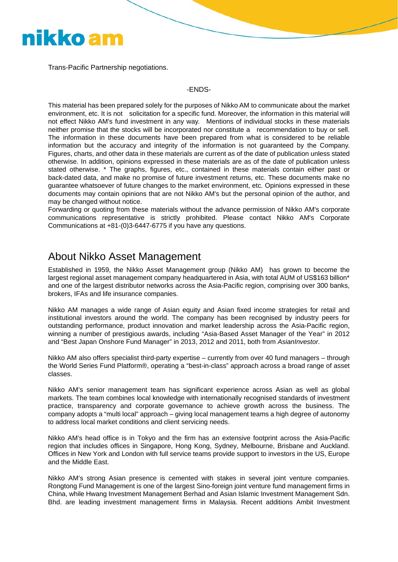# nikko am

Trans-Pacific Partnership negotiations.

#### -ENDS-

This material has been prepared solely for the purposes of Nikko AM to communicate about the market environment, etc. It is not solicitation for a specific fund. Moreover, the information in this material will not effect Nikko AM's fund investment in any way. Mentions of individual stocks in these materials neither promise that the stocks will be incorporated nor constitute a recommendation to buy or sell. The information in these documents have been prepared from what is considered to be reliable information but the accuracy and integrity of the information is not guaranteed by the Company. Figures, charts, and other data in these materials are current as of the date of publication unless stated otherwise. In addition, opinions expressed in these materials are as of the date of publication unless stated otherwise. \* The graphs, figures, etc., contained in these materials contain either past or back-dated data, and make no promise of future investment returns, etc. These documents make no guarantee whatsoever of future changes to the market environment, etc. Opinions expressed in these documents may contain opinions that are not Nikko AM's but the personal opinion of the author, and may be changed without notice.

Forwarding or quoting from these materials without the advance permission of Nikko AM's corporate communications representative is strictly prohibited. Please contact Nikko AM's Corporate Communications at +81-(0)3-6447-6775 if you have any questions.

## About Nikko Asset Management

Established in 1959, the Nikko Asset Management group (Nikko AM) has grown to become the largest regional asset management company headquartered in Asia, with total AUM of US\$163 billion\* and one of the largest distributor networks across the Asia-Pacific region, comprising over 300 banks, brokers, IFAs and life insurance companies.

Nikko AM manages a wide range of Asian equity and Asian fixed income strategies for retail and institutional investors around the world. The company has been recognised by industry peers for outstanding performance, product innovation and market leadership across the Asia-Pacific region, winning a number of prestigious awards, including "Asia-Based Asset Manager of the Year" in 2012 and "Best Japan Onshore Fund Manager" in 2013, 2012 and 2011, both from *AsianInvestor.*

Nikko AM also offers specialist third-party expertise – currently from over 40 fund managers – through the World Series Fund Platform®, operating a "best-in-class" approach across a broad range of asset classes.

Nikko AM's senior management team has significant experience across Asian as well as global markets. The team combines local knowledge with internationally recognised standards of investment practice, transparency and corporate governance to achieve growth across the business. The company adopts a "multi local" approach – giving local management teams a high degree of autonomy to address local market conditions and client servicing needs.

Nikko AM's head office is in Tokyo and the firm has an extensive footprint across the Asia-Pacific region that includes offices in Singapore, Hong Kong, Sydney, Melbourne, Brisbane and Auckland. Offices in New York and London with full service teams provide support to investors in the US, Europe and the Middle East.

Nikko AM's strong Asian presence is cemented with stakes in several joint venture companies. Rongtong Fund Management is one of the largest Sino-foreign joint venture fund management firms in China, while Hwang Investment Management Berhad and Asian Islamic Investment Management Sdn. Bhd. are leading investment management firms in Malaysia. Recent additions Ambit Investment